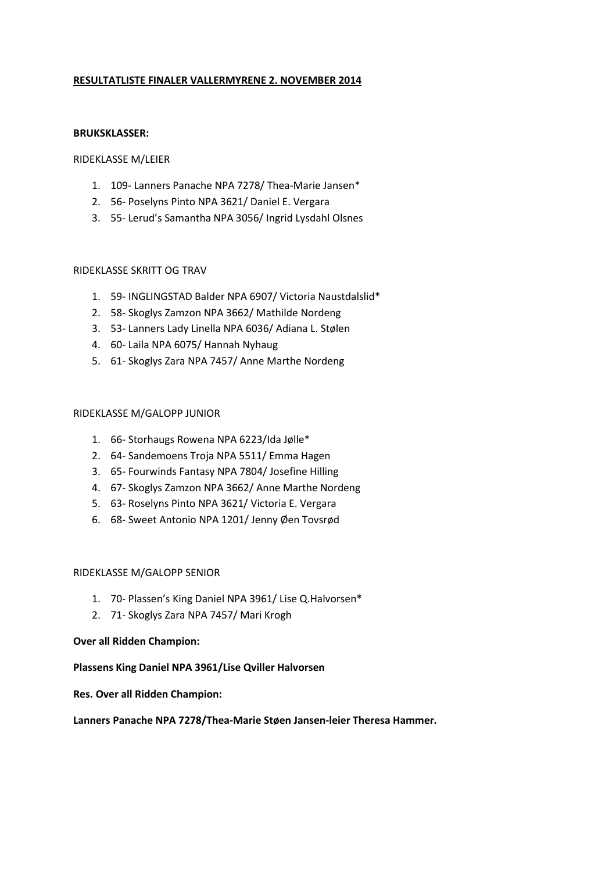# RESULTATLISTE FINALER VALLERMYRENE 2. NOVEMBER 2014

#### BRUKSKLASSER:

#### RIDEKLASSE M/LEIER

- 1. 109- Lanners Panache NPA 7278/ Thea-Marie Jansen\*
- 2. 56- Poselyns Pinto NPA 3621/ Daniel E. Vergara
- 3. 55- Lerud's Samantha NPA 3056/ Ingrid Lysdahl Olsnes

#### RIDEKLASSE SKRITT OG TRAV

- 1. 59- INGLINGSTAD Balder NPA 6907/ Victoria Naustdalslid\*
- 2. 58- Skoglys Zamzon NPA 3662/ Mathilde Nordeng
- 3. 53- Lanners Lady Linella NPA 6036/ Adiana L. Stølen
- 4. 60- Laila NPA 6075/ Hannah Nyhaug
- 5. 61- Skoglys Zara NPA 7457/ Anne Marthe Nordeng

#### RIDEKLASSE M/GALOPP JUNIOR

- 1. 66- Storhaugs Rowena NPA 6223/Ida Jølle\*
- 2. 64- Sandemoens Troja NPA 5511/ Emma Hagen
- 3. 65- Fourwinds Fantasy NPA 7804/ Josefine Hilling
- 4. 67- Skoglys Zamzon NPA 3662/ Anne Marthe Nordeng
- 5. 63- Roselyns Pinto NPA 3621/ Victoria E. Vergara
- 6. 68- Sweet Antonio NPA 1201/ Jenny Øen Tovsrød

### RIDEKLASSE M/GALOPP SENIOR

- 1. 70- Plassen's King Daniel NPA 3961/ Lise Q.Halvorsen\*
- 2. 71- Skoglys Zara NPA 7457/ Mari Krogh

### Over all Ridden Champion:

### Plassens King Daniel NPA 3961/Lise Qviller Halvorsen

### Res. Over all Ridden Champion:

### Lanners Panache NPA 7278/Thea-Marie Støen Jansen-leier Theresa Hammer.